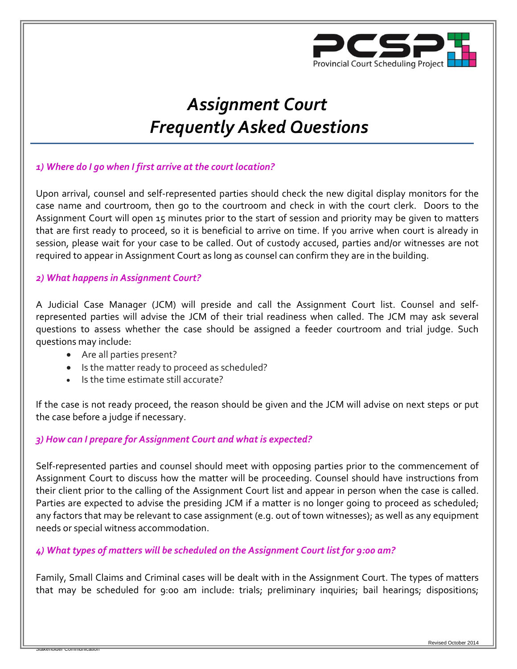

# *Assignment Court Frequently Asked Questions*

## *1) Where do I go when I first arrive at the court location?*

Upon arrival, counsel and self-represented parties should check the new digital display monitors for the case name and courtroom, then go to the courtroom and check in with the court clerk. Doors to the Assignment Court will open 15 minutes prior to the start of session and priority may be given to matters that are first ready to proceed, so it is beneficial to arrive on time. If you arrive when court is already in session, please wait for your case to be called. Out of custody accused, parties and/or witnesses are not required to appear in Assignment Court as long as counsel can confirm they are in the building.

#### *2) What happens in Assignment Court?*

A Judicial Case Manager (JCM) will preside and call the Assignment Court list. Counsel and selfrepresented parties will advise the JCM of their trial readiness when called. The JCM may ask several questions to assess whether the case should be assigned a feeder courtroom and trial judge. Such questions may include:

Are all parties present?

Stakeholder Communication

- Is the matter ready to proceed as scheduled?
- Is the time estimate still accurate?

If the case is not ready proceed, the reason should be given and the JCM will advise on next steps or put the case before a judge if necessary.

#### *3) How can I prepare for Assignment Court and what is expected?*

Self-represented parties and counsel should meet with opposing parties prior to the commencement of Assignment Court to discuss how the matter will be proceeding. Counsel should have instructions from their client prior to the calling of the Assignment Court list and appear in person when the case is called. Parties are expected to advise the presiding JCM if a matter is no longer going to proceed as scheduled; any factors that may be relevant to case assignment (e.g. out of town witnesses); as well as any equipment needs or special witness accommodation.

#### *4) What types of matters will be scheduled on the Assignment Court list for 9:00 am?*

Family, Small Claims and Criminal cases will be dealt with in the Assignment Court. The types of matters that may be scheduled for 9:00 am include: trials; preliminary inquiries; bail hearings; dispositions;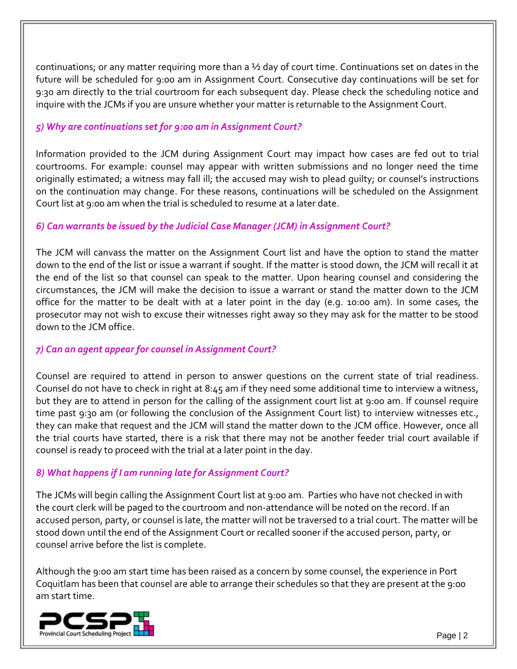continuations; or any matter requiring more than a ½ day of court time. Continuations set on dates in the future will be scheduled for 9:00 am in Assignment Court. Consecutive day continuations will be set for 9:30 am directly to the trial courtroom for each subsequent day. Please check the scheduling notice and inquire with the JCMs if you are unsure whether your matter is returnable to the Assignment Court.

#### *5) Why are continuations set for 9:00 am in Assignment Court?*

Information provided to the JCM during Assignment Court may impact how cases are fed out to trial courtrooms. For example: counsel may appear with written submissions and no longer need the time originally estimated; a witness may fall ill; the accused may wish to plead guilty; or counsel's instructions on the continuation may change. For these reasons, continuations will be scheduled on the Assignment Court list at 9:00 am when the trial is scheduled to resume at a later date.

## *6) Can warrants be issued by the Judicial Case Manager (JCM) in Assignment Court?*

The JCM will canvass the matter on the Assignment Court list and have the option to stand the matter down to the end of the list or issue a warrant if sought. If the matter is stood down, the JCM will recall it at the end of the list so that counsel can speak to the matter. Upon hearing counsel and considering the circumstances, the JCM will make the decision to issue a warrant or stand the matter down to the JCM office for the matter to be dealt with at a later point in the day (e.g. 10:00 am). In some cases, the prosecutor may not wish to excuse their witnesses right away so they may ask for the matter to be stood down to the JCM office.

#### *7) Can an agent appear for counsel in Assignment Court?*

Counsel are required to attend in person to answer questions on the current state of trial readiness. Counsel do not have to check in right at 8:45 am if they need some additional time to interview a witness, but they are to attend in person for the calling of the assignment court list at 9:00 am. If counsel require time past 9:30 am (or following the conclusion of the Assignment Court list) to interview witnesses etc., they can make that request and the JCM will stand the matter down to the JCM office. However, once all the trial courts have started, there is a risk that there may not be another feeder trial court available if counsel is ready to proceed with the trial at a later point in the day.

#### *8) What happens if I am running late for Assignment Court?*

The JCMs will begin calling the Assignment Court list at 9:00 am. Parties who have not checked in with the court clerk will be paged to the courtroom and non-attendance will be noted on the record. If an accused person, party, or counsel is late, the matter will not be traversed to a trial court. The matter will be stood down until the end of the Assignment Court or recalled sooner if the accused person, party, or counsel arrive before the list is complete.

Although the 9:00 am start time has been raised as a concern by some counsel, the experience in Port Coquitlam has been that counsel are able to arrange their schedules so that they are present at the 9:00 am start time.

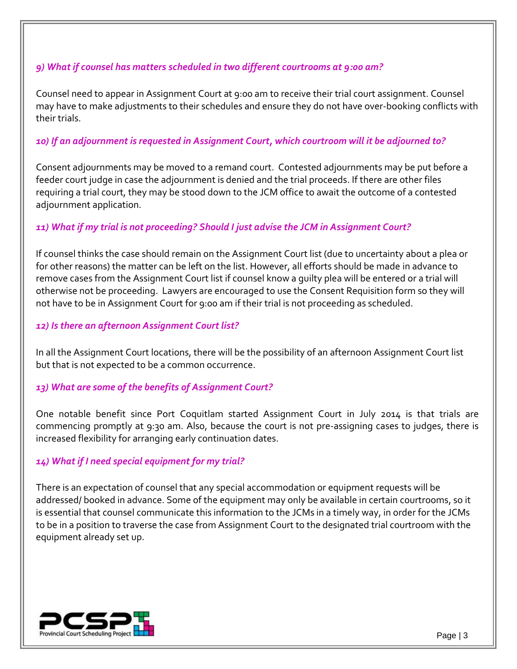#### *9) What if counsel has matters scheduled in two different courtrooms at 9:00 am?*

Counsel need to appear in Assignment Court at 9:00 am to receive their trial court assignment. Counsel may have to make adjustments to their schedules and ensure they do not have over-booking conflicts with their trials.

## *10) If an adjournment is requested in Assignment Court, which courtroom will it be adjourned to?*

Consent adjournments may be moved to a remand court. Contested adjournments may be put before a feeder court judge in case the adjournment is denied and the trial proceeds. If there are other files requiring a trial court, they may be stood down to the JCM office to await the outcome of a contested adjournment application.

## *11) What if my trial is not proceeding? Should I just advise the JCM in Assignment Court?*

If counsel thinks the case should remain on the Assignment Court list (due to uncertainty about a plea or for other reasons) the matter can be left on the list. However, all efforts should be made in advance to remove cases from the Assignment Court list if counsel know a guilty plea will be entered or a trial will otherwise not be proceeding. Lawyers are encouraged to use the Consent Requisition form so they will not have to be in Assignment Court for 9:00 am if their trial is not proceeding as scheduled.

## *12) Is there an afternoon Assignment Court list?*

In all the Assignment Court locations, there will be the possibility of an afternoon Assignment Court list but that is not expected to be a common occurrence.

## *13) What are some of the benefits of Assignment Court?*

One notable benefit since Port Coquitlam started Assignment Court in July 2014 is that trials are commencing promptly at 9:30 am. Also, because the court is not pre-assigning cases to judges, there is increased flexibility for arranging early continuation dates.

## *14) What if I need special equipment for my trial?*

There is an expectation of counsel that any special accommodation or equipment requests will be addressed/ booked in advance. Some of the equipment may only be available in certain courtrooms, so it is essential that counsel communicate this information to the JCMs in a timely way, in order for the JCMs to be in a position to traverse the case from Assignment Court to the designated trial courtroom with the equipment already set up.